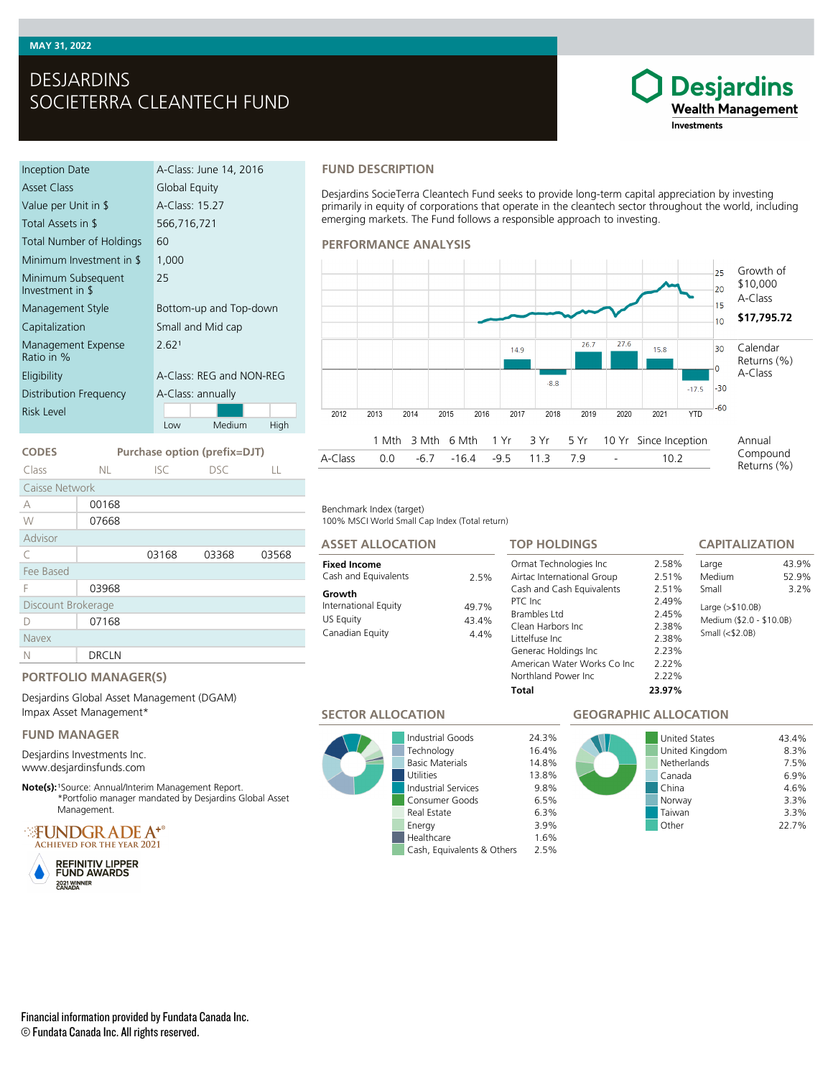# DESJARDINS SOCIETERRA CLEANTECH FUND

| Inception Date                         | A-Class: June 14, 2016   |  |  |
|----------------------------------------|--------------------------|--|--|
| Asset Class                            | Global Equity            |  |  |
| Value per Unit in \$                   | A-Class: 15.27           |  |  |
| Total Assets in \$                     | 566,716,721              |  |  |
| Total Number of Holdings               | 60                       |  |  |
| Minimum Investment in \$               | 1,000                    |  |  |
| Minimum Subsequent<br>Investment in \$ | 25                       |  |  |
| Management Style                       | Bottom-up and Top-down   |  |  |
| Capitalization                         | Small and Mid cap        |  |  |
| Management Expense<br>Ratio in %       | 2.621                    |  |  |
| Eligibility                            | A-Class: REG and NON-REG |  |  |
| Distribution Frequency                 | A-Class: annually        |  |  |
| Risk Level                             |                          |  |  |
|                                        | Medium<br>High<br>Low    |  |  |

**CODES Purchase option (prefix=DJT)** Class NL ISC DSC LL

C 03168 03368 03568

### **FUND DESCRIPTION**

Desjardins SocieTerra Cleantech Fund seeks to provide long-term capital appreciation by investing primarily in equity of corporations that operate in the cleantech sector throughout the world, including emerging markets. The Fund follows a responsible approach to investing.

#### **PERFORMANCE ANALYSIS**



#### Benchmark Index (target)

100% MSCI World Small Cap Index (Total return)

# **Fixed Income ASSET ALLOCATION**

#### Cash and Equivalents 2.5% **Growth** International Equity 49.7% US Equity 43.4% Canadian Equity 4.4%

## **TOP HOLDINGS**

| <b>TOP HOLDINGS</b>                                                                                                                                                                                                                     |                                                                                        | <b>CAPITALIZATION</b>                                                                       |                        |
|-----------------------------------------------------------------------------------------------------------------------------------------------------------------------------------------------------------------------------------------|----------------------------------------------------------------------------------------|---------------------------------------------------------------------------------------------|------------------------|
| Ormat Technologies Inc.<br>Airtac International Group<br>Cash and Cash Equivalents<br>PTC Inc.<br>Brambles Ltd<br>Clean Harbors Inc.<br>Littelfuse Inc.<br>Generac Holdings Inc<br>American Water Works Co Inc.<br>Northland Power Inc. | 2.58%<br>2.51%<br>2.51%<br>2.49%<br>2.45%<br>2.38%<br>2.38%<br>2.23%<br>2.22%<br>2.22% | Large<br>Medium<br>Small<br>Large (>\$10.0B)<br>Medium (\$2.0 - \$10.0B)<br>Small $($2.0B)$ | 43.9%<br>52.9%<br>3.2% |
| Total                                                                                                                                                                                                                                   | 23.97%                                                                                 |                                                                                             |                        |

# **PORTFOLIO MANAGER(S)**

03968

Desjardins Global Asset Management (DGAM) Impax Asset Management\*

### **FUND MANAGER**

Discount Brokerage D 07168

N DRCLN

Caisse Network A 00168 W 07668

Advisor

Fee Based

Navex

Desjardins Investments Inc. www.desjardinsfunds.com

Note(s): <sup>1</sup>Source: Annual/Interim Management Report. \*Portfolio manager mandated by Desjardins Global Asset Management.

**FUNDGRADE A<sup>+</sup>** ACHIEVED FOR THE YEAR 2021





**SECTOR ALLOCATION**

Industrial Goods 24.3% Technology 16.4% Basic Materials 14.8% Utilities 13.8%<br>
Industrial Services 9.8% Industrial Services Consumer Goods 6.5% Real Estate 6.3% Energy 3.9% Healthcare 1.6% Cash, Equivalents & Others 2.5%

# **GEOGRAPHIC ALLOCATION**



**Desjardins Wealth Management** 

Investments